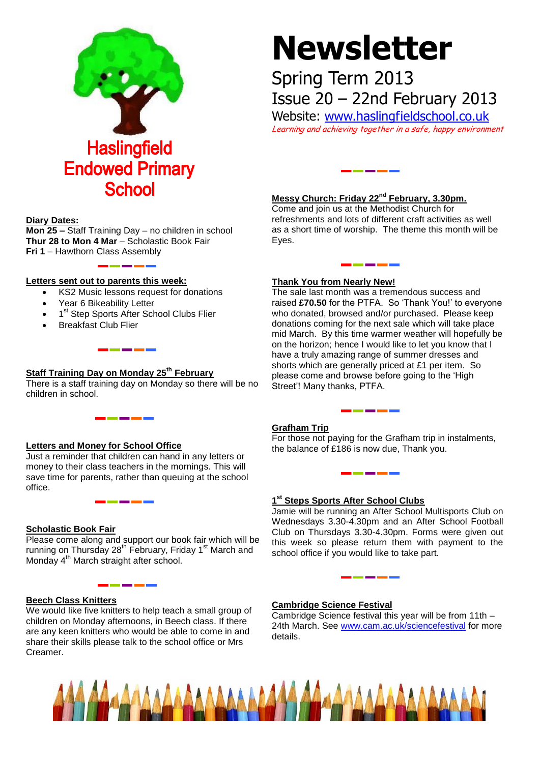

# **Newsletter**

## Spring Term 2013 Issue 20 – 22nd February 2013

Website: [www.haslingfieldschool.co.uk](http://www.haslingfieldschool.co.uk/)

Learning and achieving together in a safe, happy environment

#### **Diary Dates:**

**Mon 25 –** Staff Training Day – no children in school **Thur 28 to Mon 4 Mar** – Scholastic Book Fair **Fri 1** – Hawthorn Class Assembly

#### **Letters sent out to parents this week:**

- KS2 Music lessons request for donations
- Year 6 Bikeability Letter
- 1<sup>st</sup> Step Sports After School Clubs Flier

\_\_\_\_\_\_\_

Breakfast Club Flier

## **Staff Training Day on Monday 25th February**

There is a staff training day on Monday so there will be no children in school.

#### **Letters and Money for School Office**

Just a reminder that children can hand in any letters or money to their class teachers in the mornings. This will save time for parents, rather than queuing at the school office.

#### **Scholastic Book Fair**

Please come along and support our book fair which will be running on Thursday 28<sup>th</sup> February, Friday 1<sup>st</sup> March and Monday 4<sup>th</sup> March straight after school.

#### **Beech Class Knitters**

We would like five knitters to help teach a small group of children on Monday afternoons, in Beech class. If there are any keen knitters who would be able to come in and share their skills please talk to the school office or Mrs Creamer.

#### **Messy Church: Friday 22nd February, 3.30pm.**  Come and join us at the Methodist Church for

وأستراست أستراه

refreshments and lots of different craft activities as well as a short time of worship. The theme this month will be Eyes.

#### **Thank You from Nearly New!**

The sale last month was a tremendous success and raised **£70.50** for the PTFA. So 'Thank You!' to everyone who donated, browsed and/or purchased. Please keep donations coming for the next sale which will take place mid March. By this time warmer weather will hopefully be on the horizon; hence I would like to let you know that I have a truly amazing range of summer dresses and shorts which are generally priced at £1 per item. So please come and browse before going to the 'High Street'! Many thanks, PTFA.

#### **Grafham Trip**

For those not paying for the Grafham trip in instalments, the balance of £186 is now due, Thank you.

### **1 st Steps Sports After School Clubs**

Jamie will be running an After School Multisports Club on Wednesdays 3.30-4.30pm and an After School Football Club on Thursdays 3.30-4.30pm. Forms were given out this week so please return them with payment to the school office if you would like to take part.

#### **Cambridge Science Festival**

Cambridge Science festival this year will be from 11th – 24th March. See [www.cam.ac.uk/sciencefestival](http://www.cam.ac.uk/sciencefestival) for more details.